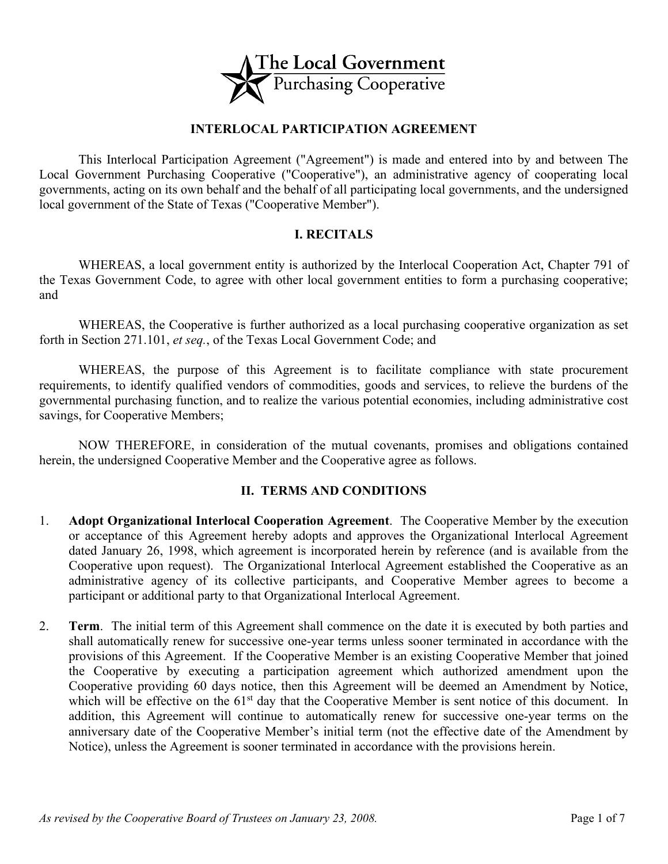

## **INTERLOCAL PARTICIPATION AGREEMENT**

This Interlocal Participation Agreement ("Agreement") is made and entered into by and between The Local Government Purchasing Cooperative ("Cooperative"), an administrative agency of cooperating local governments, acting on its own behalf and the behalf of all participating local governments, and the undersigned local government of the State of Texas ("Cooperative Member").

#### **I. RECITALS**

WHEREAS, a local government entity is authorized by the Interlocal Cooperation Act, Chapter 791 of the Texas Government Code, to agree with other local government entities to form a purchasing cooperative; and

WHEREAS, the Cooperative is further authorized as a local purchasing cooperative organization as set forth in Section 271.101, *et seq.*, of the Texas Local Government Code; and

WHEREAS, the purpose of this Agreement is to facilitate compliance with state procurement requirements, to identify qualified vendors of commodities, goods and services, to relieve the burdens of the governmental purchasing function, and to realize the various potential economies, including administrative cost savings, for Cooperative Members;

NOW THEREFORE, in consideration of the mutual covenants, promises and obligations contained herein, the undersigned Cooperative Member and the Cooperative agree as follows.

#### **II. TERMS AND CONDITIONS**

- 1. **Adopt Organizational Interlocal Cooperation Agreement**. The Cooperative Member by the execution or acceptance of this Agreement hereby adopts and approves the Organizational Interlocal Agreement dated January 26, 1998, which agreement is incorporated herein by reference (and is available from the Cooperative upon request). The Organizational Interlocal Agreement established the Cooperative as an administrative agency of its collective participants, and Cooperative Member agrees to become a participant or additional party to that Organizational Interlocal Agreement.
- 2. **Term**. The initial term of this Agreement shall commence on the date it is executed by both parties and shall automatically renew for successive one-year terms unless sooner terminated in accordance with the provisions of this Agreement. If the Cooperative Member is an existing Cooperative Member that joined the Cooperative by executing a participation agreement which authorized amendment upon the Cooperative providing 60 days notice, then this Agreement will be deemed an Amendment by Notice, which will be effective on the  $61<sup>st</sup>$  day that the Cooperative Member is sent notice of this document. In addition, this Agreement will continue to automatically renew for successive one-year terms on the anniversary date of the Cooperative Member's initial term (not the effective date of the Amendment by Notice), unless the Agreement is sooner terminated in accordance with the provisions herein.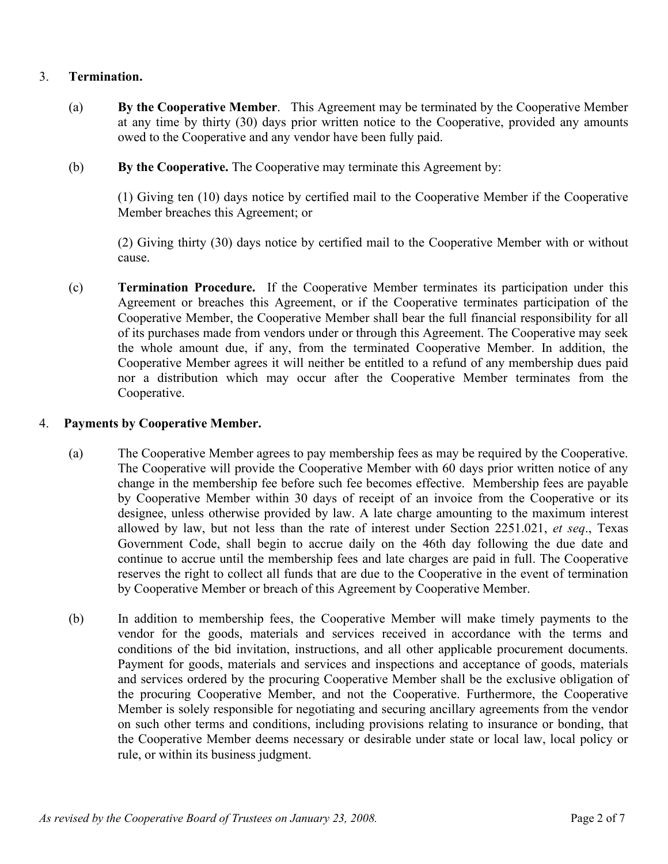### 3. **Termination.**

- (a) **By the Cooperative Member**. This Agreement may be terminated by the Cooperative Member at any time by thirty (30) days prior written notice to the Cooperative, provided any amounts owed to the Cooperative and any vendor have been fully paid.
- (b) **By the Cooperative.** The Cooperative may terminate this Agreement by:

(1) Giving ten (10) days notice by certified mail to the Cooperative Member if the Cooperative Member breaches this Agreement; or

(2) Giving thirty (30) days notice by certified mail to the Cooperative Member with or without cause.

(c) **Termination Procedure.** If the Cooperative Member terminates its participation under this Agreement or breaches this Agreement, or if the Cooperative terminates participation of the Cooperative Member, the Cooperative Member shall bear the full financial responsibility for all of its purchases made from vendors under or through this Agreement. The Cooperative may seek the whole amount due, if any, from the terminated Cooperative Member. In addition, the Cooperative Member agrees it will neither be entitled to a refund of any membership dues paid nor a distribution which may occur after the Cooperative Member terminates from the Cooperative.

#### 4. **Payments by Cooperative Member.**

- (a) The Cooperative Member agrees to pay membership fees as may be required by the Cooperative. The Cooperative will provide the Cooperative Member with 60 days prior written notice of any change in the membership fee before such fee becomes effective. Membership fees are payable by Cooperative Member within 30 days of receipt of an invoice from the Cooperative or its designee, unless otherwise provided by law. A late charge amounting to the maximum interest allowed by law, but not less than the rate of interest under Section 2251.021, *et seq*., Texas Government Code, shall begin to accrue daily on the 46th day following the due date and continue to accrue until the membership fees and late charges are paid in full. The Cooperative reserves the right to collect all funds that are due to the Cooperative in the event of termination by Cooperative Member or breach of this Agreement by Cooperative Member.
- (b) In addition to membership fees, the Cooperative Member will make timely payments to the vendor for the goods, materials and services received in accordance with the terms and conditions of the bid invitation, instructions, and all other applicable procurement documents. Payment for goods, materials and services and inspections and acceptance of goods, materials and services ordered by the procuring Cooperative Member shall be the exclusive obligation of the procuring Cooperative Member, and not the Cooperative. Furthermore, the Cooperative Member is solely responsible for negotiating and securing ancillary agreements from the vendor on such other terms and conditions, including provisions relating to insurance or bonding, that the Cooperative Member deems necessary or desirable under state or local law, local policy or rule, or within its business judgment.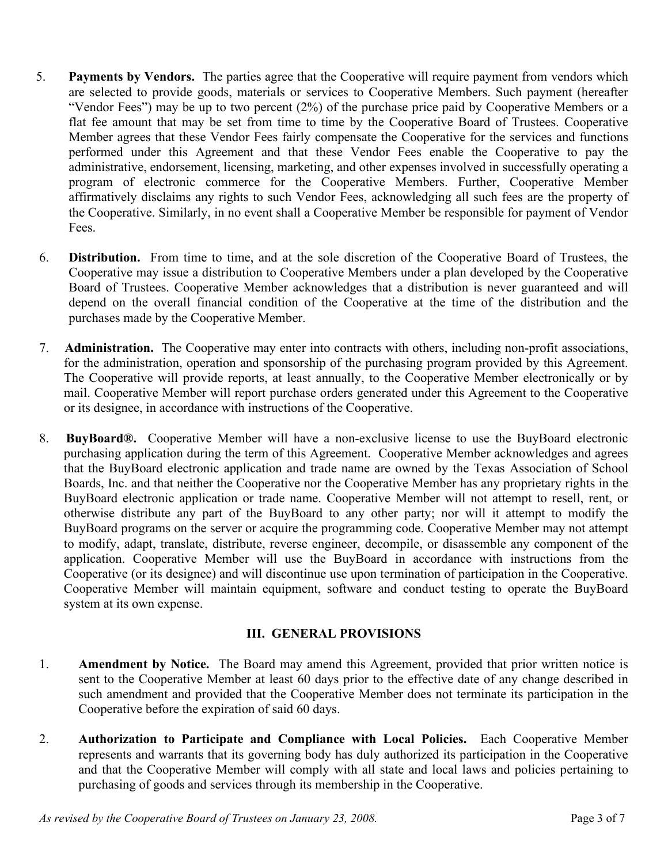- 5. **Payments by Vendors.** The parties agree that the Cooperative will require payment from vendors which are selected to provide goods, materials or services to Cooperative Members. Such payment (hereafter "Vendor Fees") may be up to two percent (2%) of the purchase price paid by Cooperative Members or a flat fee amount that may be set from time to time by the Cooperative Board of Trustees. Cooperative Member agrees that these Vendor Fees fairly compensate the Cooperative for the services and functions performed under this Agreement and that these Vendor Fees enable the Cooperative to pay the administrative, endorsement, licensing, marketing, and other expenses involved in successfully operating a program of electronic commerce for the Cooperative Members. Further, Cooperative Member affirmatively disclaims any rights to such Vendor Fees, acknowledging all such fees are the property of the Cooperative. Similarly, in no event shall a Cooperative Member be responsible for payment of Vendor Fees.
- 6. **Distribution.** From time to time, and at the sole discretion of the Cooperative Board of Trustees, the Cooperative may issue a distribution to Cooperative Members under a plan developed by the Cooperative Board of Trustees. Cooperative Member acknowledges that a distribution is never guaranteed and will depend on the overall financial condition of the Cooperative at the time of the distribution and the purchases made by the Cooperative Member.
- 7. **Administration.** The Cooperative may enter into contracts with others, including non-profit associations, for the administration, operation and sponsorship of the purchasing program provided by this Agreement. The Cooperative will provide reports, at least annually, to the Cooperative Member electronically or by mail. Cooperative Member will report purchase orders generated under this Agreement to the Cooperative or its designee, in accordance with instructions of the Cooperative.
- 8. **BuyBoard®.** Cooperative Member will have a non-exclusive license to use the BuyBoard electronic purchasing application during the term of this Agreement. Cooperative Member acknowledges and agrees that the BuyBoard electronic application and trade name are owned by the Texas Association of School Boards, Inc. and that neither the Cooperative nor the Cooperative Member has any proprietary rights in the BuyBoard electronic application or trade name. Cooperative Member will not attempt to resell, rent, or otherwise distribute any part of the BuyBoard to any other party; nor will it attempt to modify the BuyBoard programs on the server or acquire the programming code. Cooperative Member may not attempt to modify, adapt, translate, distribute, reverse engineer, decompile, or disassemble any component of the application. Cooperative Member will use the BuyBoard in accordance with instructions from the Cooperative (or its designee) and will discontinue use upon termination of participation in the Cooperative. Cooperative Member will maintain equipment, software and conduct testing to operate the BuyBoard system at its own expense.

## **III. GENERAL PROVISIONS**

- 1. **Amendment by Notice.** The Board may amend this Agreement, provided that prior written notice is sent to the Cooperative Member at least 60 days prior to the effective date of any change described in such amendment and provided that the Cooperative Member does not terminate its participation in the Cooperative before the expiration of said 60 days.
- 2. **Authorization to Participate and Compliance with Local Policies.** Each Cooperative Member represents and warrants that its governing body has duly authorized its participation in the Cooperative and that the Cooperative Member will comply with all state and local laws and policies pertaining to purchasing of goods and services through its membership in the Cooperative.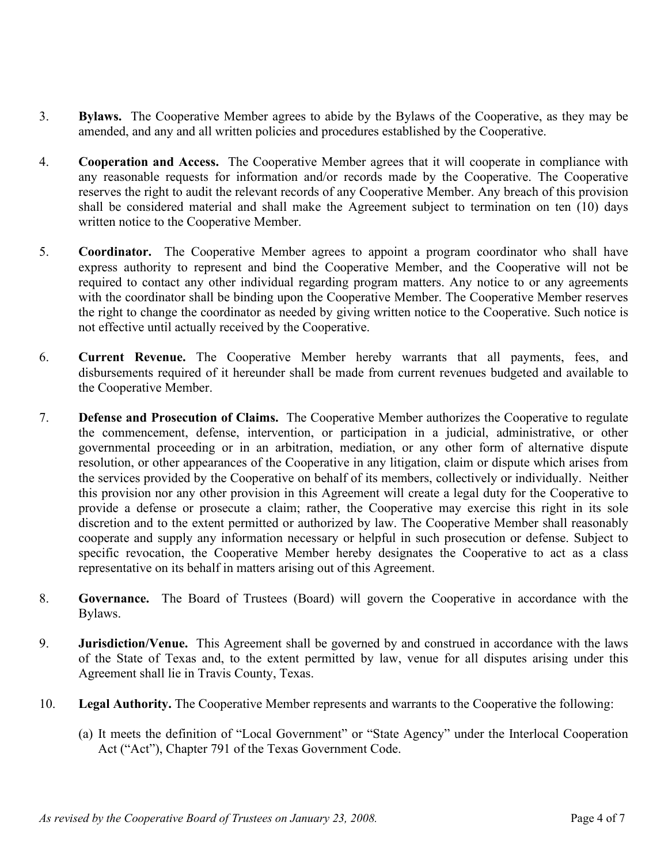- 3. **Bylaws.** The Cooperative Member agrees to abide by the Bylaws of the Cooperative, as they may be amended, and any and all written policies and procedures established by the Cooperative.
- 4. **Cooperation and Access.** The Cooperative Member agrees that it will cooperate in compliance with any reasonable requests for information and/or records made by the Cooperative. The Cooperative reserves the right to audit the relevant records of any Cooperative Member. Any breach of this provision shall be considered material and shall make the Agreement subject to termination on ten (10) days written notice to the Cooperative Member.
- 5. **Coordinator.** The Cooperative Member agrees to appoint a program coordinator who shall have express authority to represent and bind the Cooperative Member, and the Cooperative will not be required to contact any other individual regarding program matters. Any notice to or any agreements with the coordinator shall be binding upon the Cooperative Member. The Cooperative Member reserves the right to change the coordinator as needed by giving written notice to the Cooperative. Such notice is not effective until actually received by the Cooperative.
- 6. **Current Revenue.** The Cooperative Member hereby warrants that all payments, fees, and disbursements required of it hereunder shall be made from current revenues budgeted and available to the Cooperative Member.
- 7. **Defense and Prosecution of Claims.** The Cooperative Member authorizes the Cooperative to regulate the commencement, defense, intervention, or participation in a judicial, administrative, or other governmental proceeding or in an arbitration, mediation, or any other form of alternative dispute resolution, or other appearances of the Cooperative in any litigation, claim or dispute which arises from the services provided by the Cooperative on behalf of its members, collectively or individually. Neither this provision nor any other provision in this Agreement will create a legal duty for the Cooperative to provide a defense or prosecute a claim; rather, the Cooperative may exercise this right in its sole discretion and to the extent permitted or authorized by law. The Cooperative Member shall reasonably cooperate and supply any information necessary or helpful in such prosecution or defense. Subject to specific revocation, the Cooperative Member hereby designates the Cooperative to act as a class representative on its behalf in matters arising out of this Agreement.
- 8. **Governance.** The Board of Trustees (Board) will govern the Cooperative in accordance with the Bylaws.
- 9. **Jurisdiction/Venue.** This Agreement shall be governed by and construed in accordance with the laws of the State of Texas and, to the extent permitted by law, venue for all disputes arising under this Agreement shall lie in Travis County, Texas.
- 10. **Legal Authority.** The Cooperative Member represents and warrants to the Cooperative the following:
	- (a) It meets the definition of "Local Government" or "State Agency" under the Interlocal Cooperation Act ("Act"), Chapter 791 of the Texas Government Code.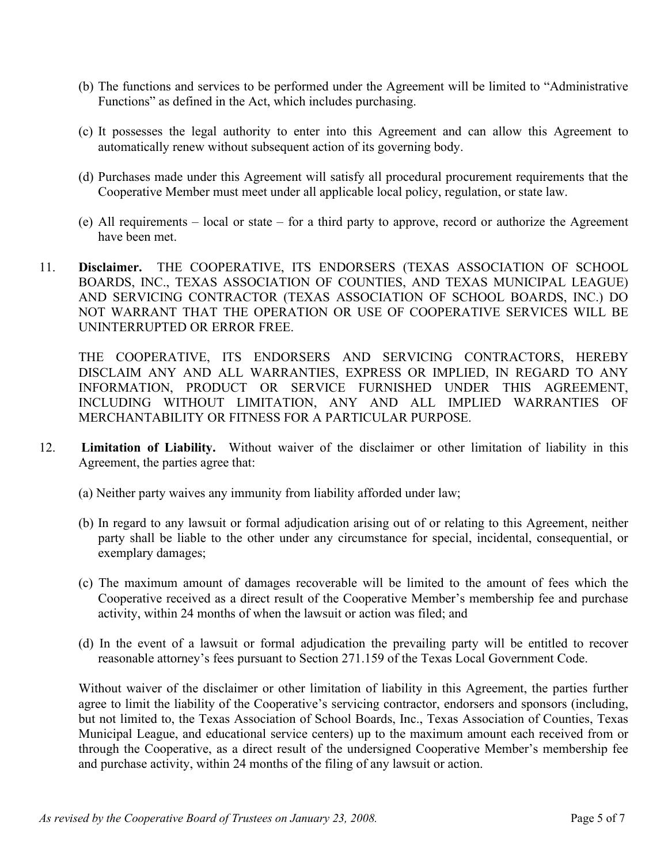- (b) The functions and services to be performed under the Agreement will be limited to "Administrative Functions" as defined in the Act, which includes purchasing.
- (c) It possesses the legal authority to enter into this Agreement and can allow this Agreement to automatically renew without subsequent action of its governing body.
- (d) Purchases made under this Agreement will satisfy all procedural procurement requirements that the Cooperative Member must meet under all applicable local policy, regulation, or state law.
- (e) All requirements local or state for a third party to approve, record or authorize the Agreement have been met.
- 11. **Disclaimer.** THE COOPERATIVE, ITS ENDORSERS (TEXAS ASSOCIATION OF SCHOOL BOARDS, INC., TEXAS ASSOCIATION OF COUNTIES, AND TEXAS MUNICIPAL LEAGUE) AND SERVICING CONTRACTOR (TEXAS ASSOCIATION OF SCHOOL BOARDS, INC.) DO NOT WARRANT THAT THE OPERATION OR USE OF COOPERATIVE SERVICES WILL BE UNINTERRUPTED OR ERROR FREE.

THE COOPERATIVE, ITS ENDORSERS AND SERVICING CONTRACTORS, HEREBY DISCLAIM ANY AND ALL WARRANTIES, EXPRESS OR IMPLIED, IN REGARD TO ANY INFORMATION, PRODUCT OR SERVICE FURNISHED UNDER THIS AGREEMENT, INCLUDING WITHOUT LIMITATION, ANY AND ALL IMPLIED WARRANTIES OF MERCHANTABILITY OR FITNESS FOR A PARTICULAR PURPOSE.

- 12. **Limitation of Liability.** Without waiver of the disclaimer or other limitation of liability in this Agreement, the parties agree that:
	- (a) Neither party waives any immunity from liability afforded under law;
	- (b) In regard to any lawsuit or formal adjudication arising out of or relating to this Agreement, neither party shall be liable to the other under any circumstance for special, incidental, consequential, or exemplary damages;
	- (c) The maximum amount of damages recoverable will be limited to the amount of fees which the Cooperative received as a direct result of the Cooperative Member's membership fee and purchase activity, within 24 months of when the lawsuit or action was filed; and
	- (d) In the event of a lawsuit or formal adjudication the prevailing party will be entitled to recover reasonable attorney's fees pursuant to Section 271.159 of the Texas Local Government Code.

Without waiver of the disclaimer or other limitation of liability in this Agreement, the parties further agree to limit the liability of the Cooperative's servicing contractor, endorsers and sponsors (including, but not limited to, the Texas Association of School Boards, Inc., Texas Association of Counties, Texas Municipal League, and educational service centers) up to the maximum amount each received from or through the Cooperative, as a direct result of the undersigned Cooperative Member's membership fee and purchase activity, within 24 months of the filing of any lawsuit or action.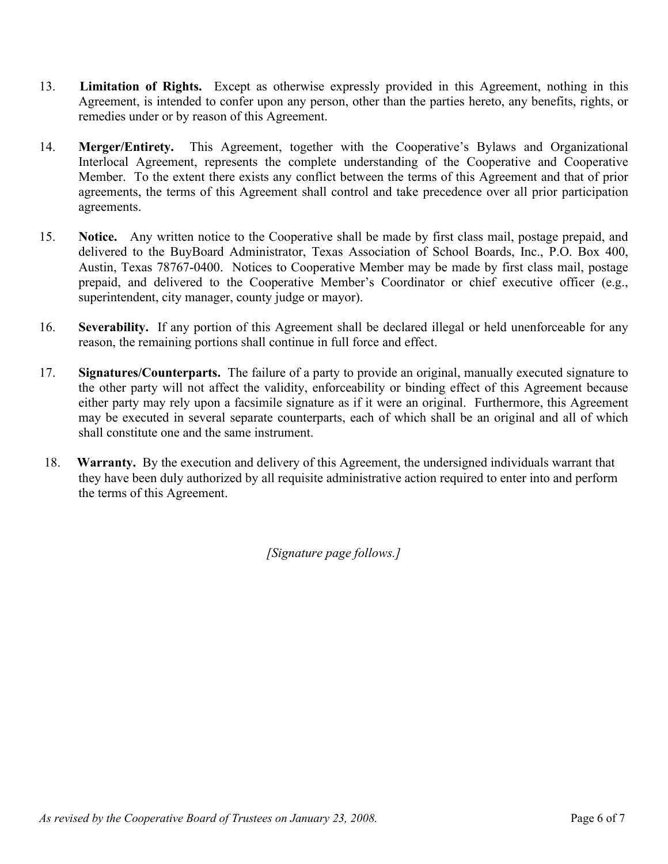- 13. **Limitation of Rights.** Except as otherwise expressly provided in this Agreement, nothing in this Agreement, is intended to confer upon any person, other than the parties hereto, any benefits, rights, or remedies under or by reason of this Agreement.
- 14. **Merger/Entirety.** This Agreement, together with the Cooperative's Bylaws and Organizational Interlocal Agreement, represents the complete understanding of the Cooperative and Cooperative Member. To the extent there exists any conflict between the terms of this Agreement and that of prior agreements, the terms of this Agreement shall control and take precedence over all prior participation agreements.
- 15. **Notice.** Any written notice to the Cooperative shall be made by first class mail, postage prepaid, and delivered to the BuyBoard Administrator, Texas Association of School Boards, Inc., P.O. Box 400, Austin, Texas 78767-0400. Notices to Cooperative Member may be made by first class mail, postage prepaid, and delivered to the Cooperative Member's Coordinator or chief executive officer (e.g., superintendent, city manager, county judge or mayor).
- 16. **Severability.** If any portion of this Agreement shall be declared illegal or held unenforceable for any reason, the remaining portions shall continue in full force and effect.
- 17. **Signatures/Counterparts.** The failure of a party to provide an original, manually executed signature to the other party will not affect the validity, enforceability or binding effect of this Agreement because either party may rely upon a facsimile signature as if it were an original. Furthermore, this Agreement may be executed in several separate counterparts, each of which shall be an original and all of which shall constitute one and the same instrument.
- 18. **Warranty.** By the execution and delivery of this Agreement, the undersigned individuals warrant that they have been duly authorized by all requisite administrative action required to enter into and perform the terms of this Agreement.

*[Signature page follows.]*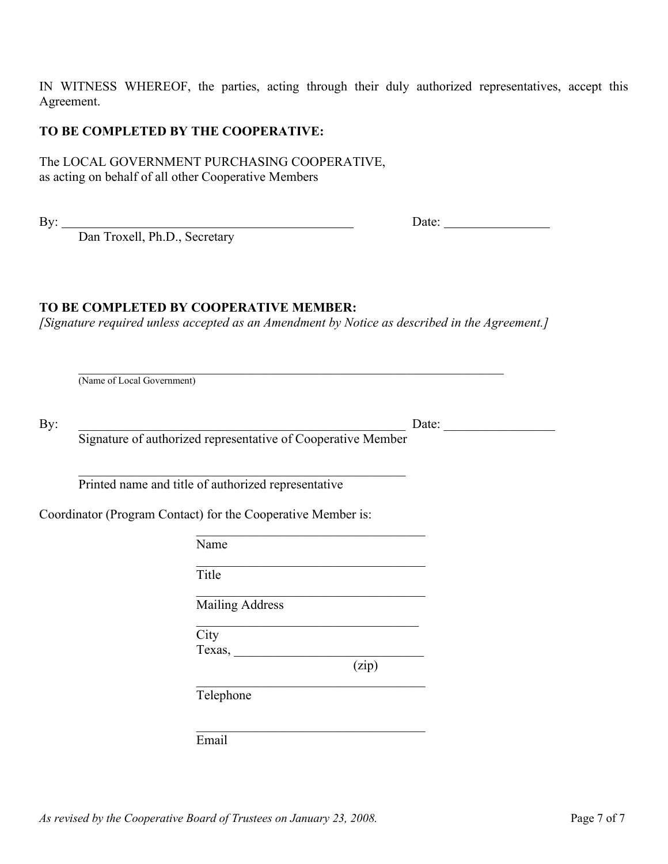IN WITNESS WHEREOF, the parties, acting through their duly authorized representatives, accept this Agreement.

#### **TO BE COMPLETED BY THE COOPERATIVE:**

The LOCAL GOVERNMENT PURCHASING COOPERATIVE, as acting on behalf of all other Cooperative Members

| i<br>۰, |  |
|---------|--|

Dan Troxell, Ph.D., Secretary

By: Date:

# **TO BE COMPLETED BY COOPERATIVE MEMBER:**

*[Signature required unless accepted as an Amendment by Notice as described in the Agreement.]*

 $\mathcal{L}_\mathcal{L}$  , where  $\mathcal{L}_\mathcal{L}$  , we have the set of the set of the set of the set of the set of the set of the set of the set of the set of the set of the set of the set of the set of the set of the set of the set

 $\mathcal{L}_\text{max}$  and  $\mathcal{L}_\text{max}$  and  $\mathcal{L}_\text{max}$  and  $\mathcal{L}_\text{max}$ 

 $\mathcal{L}_\mathcal{L}$  , where  $\mathcal{L}_\mathcal{L}$  , we have the set of the set of the set of the set of the set of the set of the set of the set of the set of the set of the set of the set of the set of the set of the set of the set

(Name of Local Government)

| ۰, |  |
|----|--|

 $Date:$ 

Signature of authorized representative of Cooperative Member

\_\_\_\_\_\_\_\_\_\_\_\_\_\_\_\_\_\_\_\_\_\_\_\_\_\_\_\_\_\_\_\_\_\_\_\_\_\_\_\_\_\_\_\_\_\_\_\_\_\_ Printed name and title of authorized representative

Coordinator (Program Contact) for the Cooperative Member is:

Name

Title

 $\mathcal{L}_\mathcal{L}$  , where  $\mathcal{L}_\mathcal{L}$  , we have the set of the set of the set of the set of the set of the set of the set of the set of the set of the set of the set of the set of the set of the set of the set of the set Mailing Address

 $\mathcal{L}_\mathcal{L}$  , which is a set of the set of the set of the set of the set of the set of the set of the set of the set of the set of the set of the set of the set of the set of the set of the set of the set of the set of **City** Texas, \_\_\_\_\_\_\_\_\_\_\_\_\_\_\_\_\_\_\_\_\_\_\_\_\_\_\_\_\_

(zip)

Telephone

Email